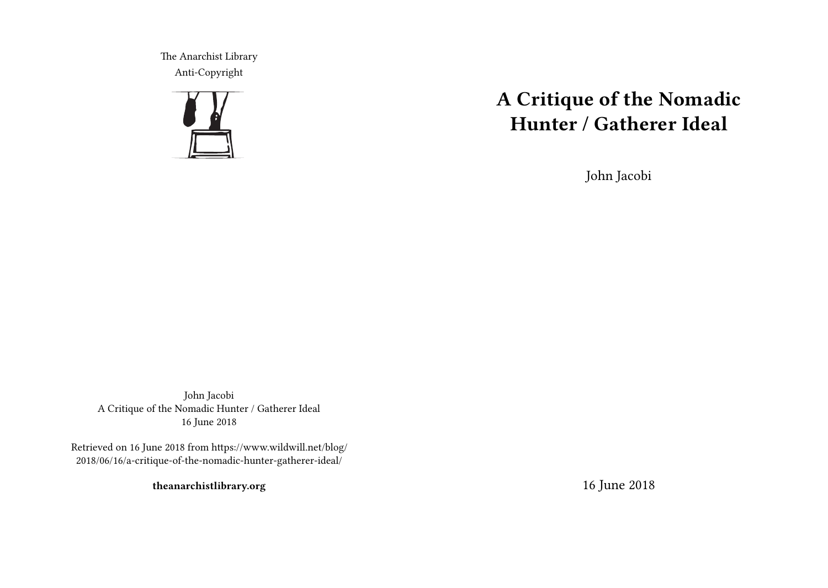The Anarchist Library Anti-Copyright



# **A Critique of the Nomadic Hunter / Gatherer Ideal**

John Jacobi

John Jacobi A Critique of the Nomadic Hunter / Gatherer Ideal 16 June 2018

Retrieved on 16 June 2018 from https://www.wildwill.net/blog/ 2018/06/16/a-critique-of-the-nomadic-hunter-gatherer-ideal/

**theanarchistlibrary.org**

16 June 2018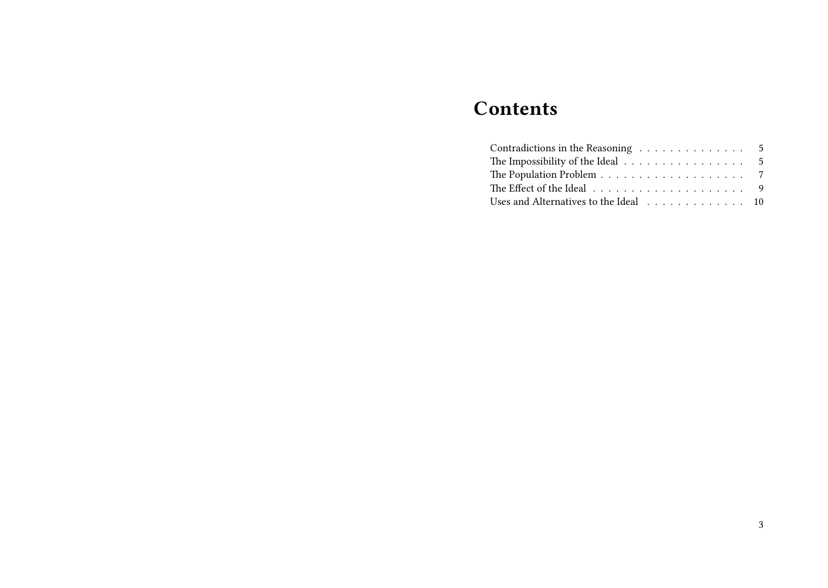## **Contents**

| Contradictions in the Reasoning 5                                            |  |  |  |  |  |  |  |
|------------------------------------------------------------------------------|--|--|--|--|--|--|--|
| The Impossibility of the Ideal 5                                             |  |  |  |  |  |  |  |
|                                                                              |  |  |  |  |  |  |  |
| The Effect of the Ideal $\ldots \ldots \ldots \ldots \ldots \ldots \ldots$ 9 |  |  |  |  |  |  |  |
| Uses and Alternatives to the Ideal 10                                        |  |  |  |  |  |  |  |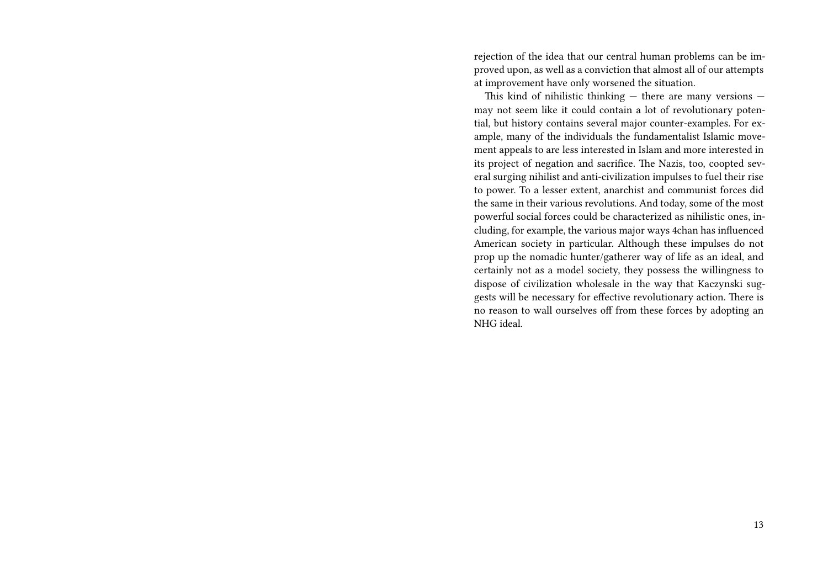rejection of the idea that our central human problems can be improved upon, as well as a conviction that almost all of our attempts at improvement have only worsened the situation.

This kind of nihilistic thinking — there are many versions may not seem like it could contain a lot of revolutionary potential, but history contains several major counter-examples. For example, many of the individuals the fundamentalist Islamic movement appeals to are less interested in Islam and more interested in its project of negation and sacrifice. The Nazis, too, coopted several surging nihilist and anti-civilization impulses to fuel their rise to power. To a lesser extent, anarchist and communist forces did the same in their various revolutions. And today, some of the most powerful social forces could be characterized as nihilistic ones, including, for example, the various major ways 4chan has influenced American society in particular. Although these impulses do not prop up the nomadic hunter/gatherer way of life as an ideal, and certainly not as a model society, they possess the willingness to dispose of civilization wholesale in the way that Kaczynski suggests will be necessary for effective revolutionary action. There is no reason to wall ourselves off from these forces by adopting an NHG ideal.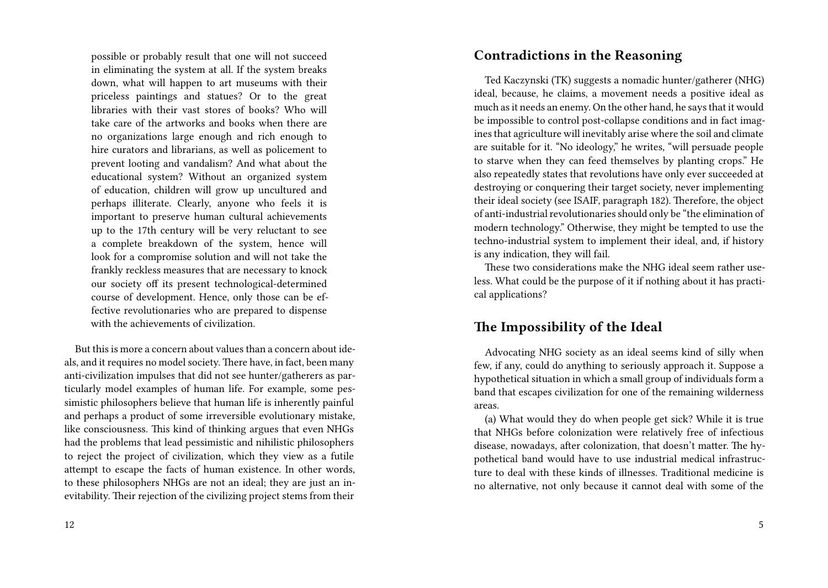possible or probably result that one will not succeed in eliminating the system at all. If the system breaks down, what will happen to art museums with their priceless paintings and statues? Or to the great libraries with their vast stores of books? Who will take care of the artworks and books when there are no organizations large enough and rich enough to hire curators and librarians, as well as policement to prevent looting and vandalism? And what about the educational system? Without an organized system of education, children will grow up uncultured and perhaps illiterate. Clearly, anyone who feels it is important to preserve human cultural achievements up to the 17th century will be very reluctant to see a complete breakdown of the system, hence will look for a compromise solution and will not take the frankly reckless measures that are necessary to knock our society off its present technological-determined course of development. Hence, only those can be effective revolutionaries who are prepared to dispense with the achievements of civilization.

But this is more a concern about values than a concern about ideals, and it requires no model society. There have, in fact, been many anti-civilization impulses that did not see hunter/gatherers as particularly model examples of human life. For example, some pessimistic philosophers believe that human life is inherently painful and perhaps a product of some irreversible evolutionary mistake, like consciousness. This kind of thinking argues that even NHGs had the problems that lead pessimistic and nihilistic philosophers to reject the project of civilization, which they view as a futile attempt to escape the facts of human existence. In other words, to these philosophers NHGs are not an ideal; they are just an inevitability. Their rejection of the civilizing project stems from their

#### **Contradictions in the Reasoning**

Ted Kaczynski (TK) suggests a nomadic hunter/gatherer (NHG) ideal, because, he claims, a movement needs a positive ideal as much as it needs an enemy. On the other hand, he says that it would be impossible to control post-collapse conditions and in fact imagines that agriculture will inevitably arise where the soil and climate are suitable for it. "No ideology," he writes, "will persuade people to starve when they can feed themselves by planting crops." He also repeatedly states that revolutions have only ever succeeded at destroying or conquering their target society, never implementing their ideal society (see ISAIF, paragraph 182). Therefore, the object of anti-industrial revolutionaries should only be "the elimination of modern technology." Otherwise, they might be tempted to use the techno-industrial system to implement their ideal, and, if history is any indication, they will fail.

These two considerations make the NHG ideal seem rather useless. What could be the purpose of it if nothing about it has practical applications?

## **The Impossibility of the Ideal**

Advocating NHG society as an ideal seems kind of silly when few, if any, could do anything to seriously approach it. Suppose a hypothetical situation in which a small group of individuals form a band that escapes civilization for one of the remaining wilderness areas.

(a) What would they do when people get sick? While it is true that NHGs before colonization were relatively free of infectious disease, nowadays, after colonization, that doesn't matter. The hypothetical band would have to use industrial medical infrastructure to deal with these kinds of illnesses. Traditional medicine is no alternative, not only because it cannot deal with some of the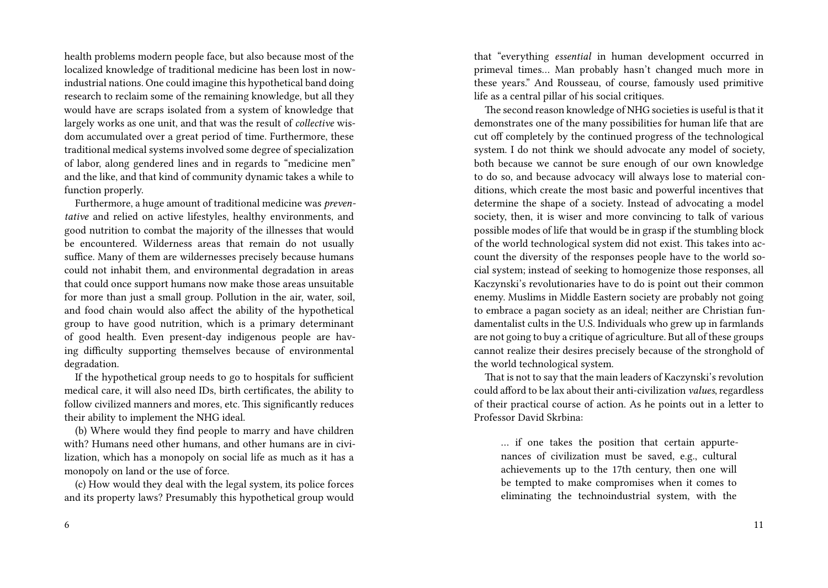health problems modern people face, but also because most of the localized knowledge of traditional medicine has been lost in nowindustrial nations. One could imagine this hypothetical band doing research to reclaim some of the remaining knowledge, but all they would have are scraps isolated from a system of knowledge that largely works as one unit, and that was the result of *collective* wisdom accumulated over a great period of time. Furthermore, these traditional medical systems involved some degree of specialization of labor, along gendered lines and in regards to "medicine men" and the like, and that kind of community dynamic takes a while to function properly.

Furthermore, a huge amount of traditional medicine was *preventative* and relied on active lifestyles, healthy environments, and good nutrition to combat the majority of the illnesses that would be encountered. Wilderness areas that remain do not usually suffice. Many of them are wildernesses precisely because humans could not inhabit them, and environmental degradation in areas that could once support humans now make those areas unsuitable for more than just a small group. Pollution in the air, water, soil, and food chain would also affect the ability of the hypothetical group to have good nutrition, which is a primary determinant of good health. Even present-day indigenous people are having difficulty supporting themselves because of environmental degradation.

If the hypothetical group needs to go to hospitals for sufficient medical care, it will also need IDs, birth certificates, the ability to follow civilized manners and mores, etc. This significantly reduces their ability to implement the NHG ideal.

(b) Where would they find people to marry and have children with? Humans need other humans, and other humans are in civilization, which has a monopoly on social life as much as it has a monopoly on land or the use of force.

(c) How would they deal with the legal system, its police forces and its property laws? Presumably this hypothetical group would

that "everything *essential* in human development occurred in primeval times… Man probably hasn't changed much more in these years." And Rousseau, of course, famously used primitive life as a central pillar of his social critiques.

The second reason knowledge of NHG societies is useful is that it demonstrates one of the many possibilities for human life that are cut off completely by the continued progress of the technological system. I do not think we should advocate any model of society, both because we cannot be sure enough of our own knowledge to do so, and because advocacy will always lose to material conditions, which create the most basic and powerful incentives that determine the shape of a society. Instead of advocating a model society, then, it is wiser and more convincing to talk of various possible modes of life that would be in grasp if the stumbling block of the world technological system did not exist. This takes into account the diversity of the responses people have to the world social system; instead of seeking to homogenize those responses, all Kaczynski's revolutionaries have to do is point out their common enemy. Muslims in Middle Eastern society are probably not going to embrace a pagan society as an ideal; neither are Christian fundamentalist cults in the U.S. Individuals who grew up in farmlands are not going to buy a critique of agriculture. But all of these groups cannot realize their desires precisely because of the stronghold of the world technological system.

That is not to say that the main leaders of Kaczynski's revolution could afford to be lax about their anti-civilization *values*, regardless of their practical course of action. As he points out in a letter to Professor David Skrbina:

… if one takes the position that certain appurtenances of civilization must be saved, e.g., cultural achievements up to the 17th century, then one will be tempted to make compromises when it comes to eliminating the technoindustrial system, with the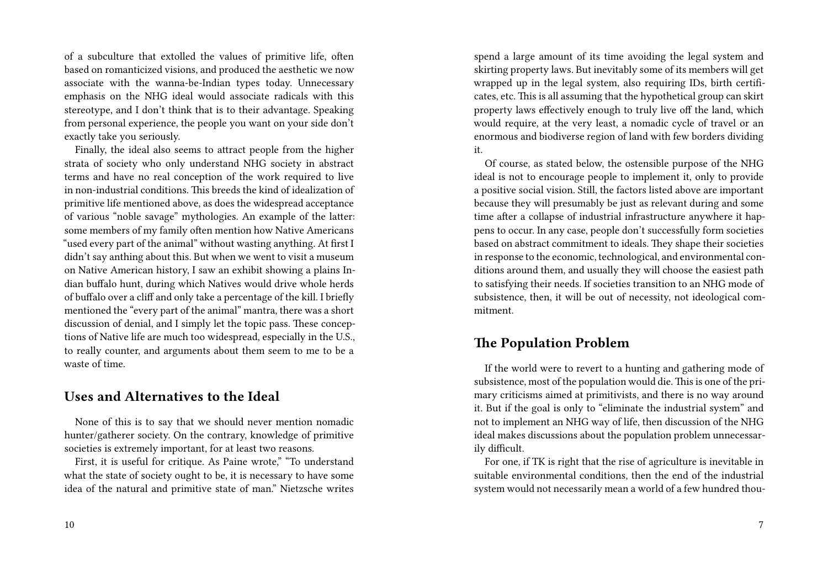of a subculture that extolled the values of primitive life, often based on romanticized visions, and produced the aesthetic we now associate with the wanna-be-Indian types today. Unnecessary emphasis on the NHG ideal would associate radicals with this stereotype, and I don't think that is to their advantage. Speaking from personal experience, the people you want on your side don't exactly take you seriously.

Finally, the ideal also seems to attract people from the higher strata of society who only understand NHG society in abstract terms and have no real conception of the work required to live in non-industrial conditions. This breeds the kind of idealization of primitive life mentioned above, as does the widespread acceptance of various "noble savage" mythologies. An example of the latter: some members of my family often mention how Native Americans "used every part of the animal" without wasting anything. At first I didn't say anthing about this. But when we went to visit a museum on Native American history, I saw an exhibit showing a plains Indian buffalo hunt, during which Natives would drive whole herds of buffalo over a cliff and only take a percentage of the kill. I briefly mentioned the "every part of the animal" mantra, there was a short discussion of denial, and I simply let the topic pass. These conceptions of Native life are much too widespread, especially in the U.S., to really counter, and arguments about them seem to me to be a waste of time.

### **Uses and Alternatives to the Ideal**

None of this is to say that we should never mention nomadic hunter/gatherer society. On the contrary, knowledge of primitive societies is extremely important, for at least two reasons.

First, it is useful for critique. As Paine wrote," "To understand what the state of society ought to be, it is necessary to have some idea of the natural and primitive state of man." Nietzsche writes

spend a large amount of its time avoiding the legal system and skirting property laws. But inevitably some of its members will get wrapped up in the legal system, also requiring IDs, birth certificates, etc. This is all assuming that the hypothetical group can skirt property laws effectively enough to truly live off the land, which would require, at the very least, a nomadic cycle of travel or an enormous and biodiverse region of land with few borders dividing it.

Of course, as stated below, the ostensible purpose of the NHG ideal is not to encourage people to implement it, only to provide a positive social vision. Still, the factors listed above are important because they will presumably be just as relevant during and some time after a collapse of industrial infrastructure anywhere it happens to occur. In any case, people don't successfully form societies based on abstract commitment to ideals. They shape their societies in response to the economic, technological, and environmental conditions around them, and usually they will choose the easiest path to satisfying their needs. If societies transition to an NHG mode of subsistence, then, it will be out of necessity, not ideological commitment.

## **The Population Problem**

If the world were to revert to a hunting and gathering mode of subsistence, most of the population would die. This is one of the primary criticisms aimed at primitivists, and there is no way around it. But if the goal is only to "eliminate the industrial system" and not to implement an NHG way of life, then discussion of the NHG ideal makes discussions about the population problem unnecessarily difficult.

For one, if TK is right that the rise of agriculture is inevitable in suitable environmental conditions, then the end of the industrial system would not necessarily mean a world of a few hundred thou